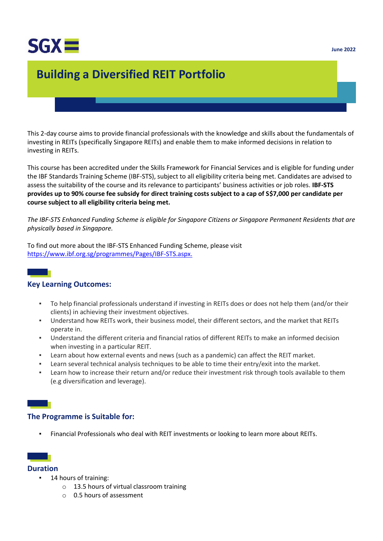

# **Building a Diversified REIT Portfolio**

This 2-day course aims to provide financial professionals with the knowledge and skills about the fundamentals of investing in REITs (specifically Singapore REITs) and enable them to make informed decisions in relation to investing in REITs.

This course has been accredited under the Skills Framework for Financial Services and is eligible for funding under the IBF Standards Training Scheme (IBF-STS), subject to all eligibility criteria being met. Candidates are advised to assess the suitability of the course and its relevance to participants' business activities or job roles. **IBF-STS provides up to 90% course fee subsidy for direct training costs subject to a cap of S\$7,000 per candidate per course subject to all eligibility criteria being met.**

*The IBF-STS Enhanced Funding Scheme is eligible for Singapore Citizens or Singapore Permanent Residents that are physically based in Singapore.*

To find out more about the IBF-STS Enhanced Funding Scheme, please visit [https://www.ibf.org.sg/programmes/Pages/IBF-STS.aspx.](https://www.ibf.org.sg/programmes/Pages/IBF-STS.aspx)



#### **Key Learning Outcomes:**

- To help financial professionals understand if investing in REITs does or does not help them (and/or their clients) in achieving their investment objectives.
- Understand how REITs work, their business model, their different sectors, and the market that REITs operate in.
- Understand the different criteria and financial ratios of different REITs to make an informed decision when investing in a particular REIT.
- Learn about how external events and news (such as a pandemic) can affect the REIT market.
- Learn several technical analysis techniques to be able to time their entry/exit into the market.
- **EXECT** Learn how to increase their return and/or reduce their investment risk through tools available to them (e.g diversification and leverage).

#### **The Programme is Suitable for:**

▪ Financial Professionals who deal with REIT investments or looking to learn more about REITs.

# **Duration**

- 14 hours of training:
	- o 13.5 hours of virtual classroom training
	- o 0.5 hours of assessment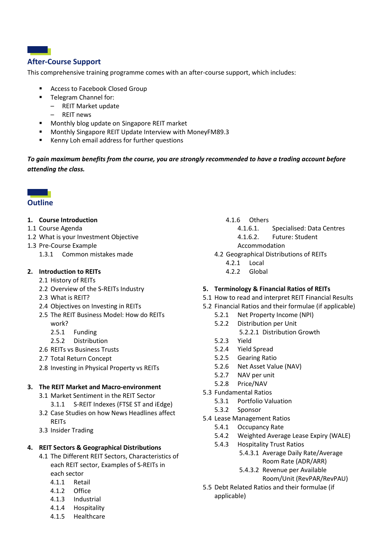# **After-Course Support**

a sa n

This comprehensive training programme comes with an after-course support, which includes:

- Access to Facebook Closed Group
- Telegram Channel for:
	- REIT Market update
	- REIT news
- Monthly blog update on Singapore REIT market
- Monthly Singapore REIT Update Interview with MoneyFM89.3
- Kenny Loh email address for further questions

*To gain maximum benefits from the course, you are strongly recommended to have a trading account before attending the class.*

#### **Barbara Outline**

#### **1. Course Introduction**

- 1.1 Course Agenda
- 1.2 What is your Investment Objective
- 1.3 Pre-Course Example
	- 1.3.1 Common mistakes made

#### **2. Introduction to REITs**

- 2.1 History of REITs
- 2.2 Overview of the S-REITs Industry
- 2.3 What is REIT?
- 2.4 Objectives on Investing in REITs
- 2.5 The REIT Business Model: How do REITs work?
	- 2.5.1 Funding
	- 2.5.2 Distribution
- 2.6 REITs vs Business Trusts
- 2.7 Total Return Concept
- 2.8 Investing in Physical Property vs REITs

#### **3. The REIT Market and Macro-environment**

- 3.1 Market Sentiment in the REIT Sector
- 3.1.1 S-REIT Indexes (FTSE ST and iEdge) 3.2 Case Studies on how News Headlines affect **REITs**
- 3.3 Insider Trading

#### **4. REIT Sectors & Geographical Distributions**

- 4.1 The Different REIT Sectors, Characteristics of each REIT sector, Examples of S-REITs in each sector
	- 4.1.1 Retail
	- 4.1.2 Office
	- 4.1.3 Industrial
	- 4.1.4 Hospitality
	- 4.1.5 Healthcare

#### 4.1.6 Others

- 4.1.6.1. Specialised: Data Centres
- 4.1.6.2. Future: Student
- Accommodation
- 4.2 Geographical Distributions of REITs
	- 4.2.1 Local
	- 4.2.2 Global

#### **5. Terminology & Financial Ratios of REITs**

- 5.1 How to read and interpret REIT Financial Results
- 5.2 Financial Ratios and their formulae (if applicable)
	- 5.2.1 Net Property Income (NPI)
	- 5.2.2 Distribution per Unit
		- 5.2.2.1 Distribution Growth
	- 5.2.3 Yield
	- 5.2.4 Yield Spread
	- 5.2.5 Gearing Ratio
	- 5.2.6 Net Asset Value (NAV)
	- 5.2.7 NAV per unit
	- 5.2.8 Price/NAV
- 5.3 Fundamental Ratios
	- 5.3.1 Portfolio Valuation
	- 5.3.2 Sponsor
- 5.4 Lease Management Ratios
	- 5.4.1 Occupancy Rate
	- 5.4.2 Weighted Average Lease Expiry (WALE)
	- 5.4.3 Hospitality Trust Ratios
		- 5.4.3.1 Average Daily Rate/Average Room Rate (ADR/ARR)
		- 5.4.3.2 Revenue per Available
			- Room/Unit (RevPAR/RevPAU)
- 5.5 Debt Related Ratios and their formulae (if applicable)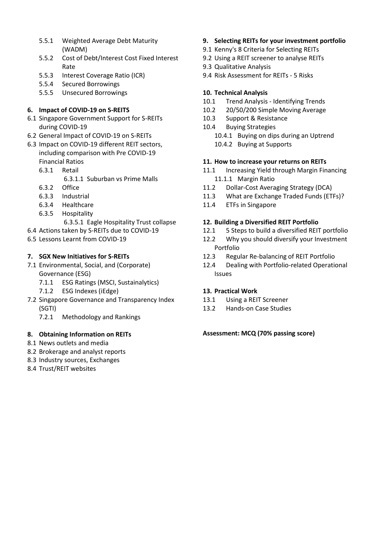- 5.5.1 Weighted Average Debt Maturity (WADM)
- 5.5.2 Cost of Debt/Interest Cost Fixed Interest Rate
- 5.5.3 Interest Coverage Ratio (ICR)
- 5.5.4 Secured Borrowings
- 5.5.5 Unsecured Borrowings

## **6. Impact of COVID-19 on S-REITS**

- 6.1 Singapore Government Support for S-REITs during COVID-19
- 6.2 General Impact of COVID-19 on S-REITs
- 6.3 Impact on COVID-19 different REIT sectors, including comparison with Pre COVID-19 Financial Ratios
	- 6.3.1 Retail
		- 6.3.1.1 Suburban vs Prime Malls
	- 6.3.2 Office
	- 6.3.3 Industrial
	- 6.3.4 Healthcare
	- 6.3.5 Hospitality
		- 6.3.5.1 Eagle Hospitality Trust collapse
- 6.4 Actions taken by S-REITs due to COVID-19
- 6.5 Lessons Learnt from COVID-19

## **7. SGX New Initiatives for S-REITs**

- 7.1 Environmental, Social, and (Corporate) Governance (ESG)
	- 7.1.1 ESG Ratings (MSCI, Sustainalytics)
	- 7.1.2 ESG Indexes (iEdge)
- 7.2 Singapore Governance and Transparency Index (SGTI)
	- 7.2.1 Methodology and Rankings

#### **8. Obtaining Information on REITs**

- 8.1 News outlets and media
- 8.2 Brokerage and analyst reports
- 8.3 Industry sources, Exchanges
- 8.4 Trust/REIT websites
- **9. Selecting REITs for your investment portfolio**
- 9.1 Kenny's 8 Criteria for Selecting REITs
- 9.2 Using a REIT screener to analyse REITs
- 9.3 Qualitative Analysis
- 9.4 Risk Assessment for REITs 5 Risks

## **10. Technical Analysis**

- 10.1 Trend Analysis Identifying Trends
- 10.2 20/50/200 Simple Moving Average
- 10.3 Support & Resistance
- 10.4 Buying Strategies
	- 10.4.1 Buying on dips during an Uptrend
	- 10.4.2 Buying at Supports

## **11. How to increase your returns on REITs**

- 11.1 Increasing Yield through Margin Financing 11.1.1 Margin Ratio
- 11.2 Dollar-Cost Averaging Strategy (DCA)
- 11.3 What are Exchange Traded Funds (ETFs)?
- 11.4 ETFs in Singapore

## **12. Building a Diversified REIT Portfolio**

- 12.1 5 Steps to build a diversified REIT portfolio
- 12.2 Why you should diversify your Investment Portfolio
- 12.3 Regular Re-balancing of REIT Portfolio
- 12.4 Dealing with Portfolio-related Operational Issues

#### **13. Practical Work**

- 13.1 Using a REIT Screener
- 13.2 Hands-on Case Studies

#### **Assessment: MCQ (70% passing score)**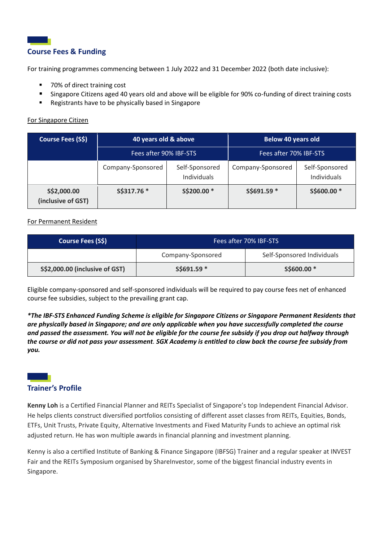# **Course Fees & Funding**

For training programmes commencing between 1 July 2022 and 31 December 2022 (both date inclusive):

- 70% of direct training cost
- Singapore Citizens aged 40 years old and above will be eligible for 90% co-funding of direct training costs
- Registrants have to be physically based in Singapore

#### For Singapore Citizen

| <b>Course Fees (S\$)</b>          | 40 years old & above   |                               | <b>Below 40 years old</b> |                               |
|-----------------------------------|------------------------|-------------------------------|---------------------------|-------------------------------|
|                                   | Fees after 90% IBF-STS |                               | Fees after 70% IBF-STS    |                               |
|                                   | Company-Sponsored      | Self-Sponsored<br>Individuals | Company-Sponsored         | Self-Sponsored<br>Individuals |
| S\$2,000.00<br>(inclusive of GST) | S\$317.76 *            | S\$200.00 *                   | S\$691.59 *               | S\$600.00 *                   |

#### For Permanent Resident

| Course Fees (S\$)              | Fees after 70% IBF-STS |                            |  |
|--------------------------------|------------------------|----------------------------|--|
|                                | Company-Sponsored      | Self-Sponsored Individuals |  |
| S\$2,000.00 (inclusive of GST) | $S$691.59*$            | S\$600.00 <sup>*</sup>     |  |

Eligible company-sponsored and self-sponsored individuals will be required to pay course fees net of enhanced course fee subsidies, subject to the prevailing grant cap.

*\*The IBF-STS Enhanced Funding Scheme is eligible for Singapore Citizens or Singapore Permanent Residents that are physically based in Singapore; and are only applicable when you have successfully completed the course and passed the assessment. You will not be eligible for the course fee subsidy if you drop out halfway through the course or did not pass your assessment. SGX Academy is entitled to claw back the course fee subsidy from you.* 

# **Trainer's Profile**

**Kenny Loh** is a Certified Financial Planner and REITs Specialist of Singapore's top Independent Financial Advisor. He helps clients construct diversified portfolios consisting of different asset classes from REITs, Equities, Bonds, ETFs, Unit Trusts, Private Equity, Alternative Investments and Fixed Maturity Funds to achieve an optimal risk adjusted return. He has won multiple awards in financial planning and investment planning.

Kenny is also a certified Institute of Banking & Finance Singapore (IBFSG) Trainer and a regular speaker at INVEST Fair and the REITs Symposium organised by ShareInvestor, some of the biggest financial industry events in Singapore.